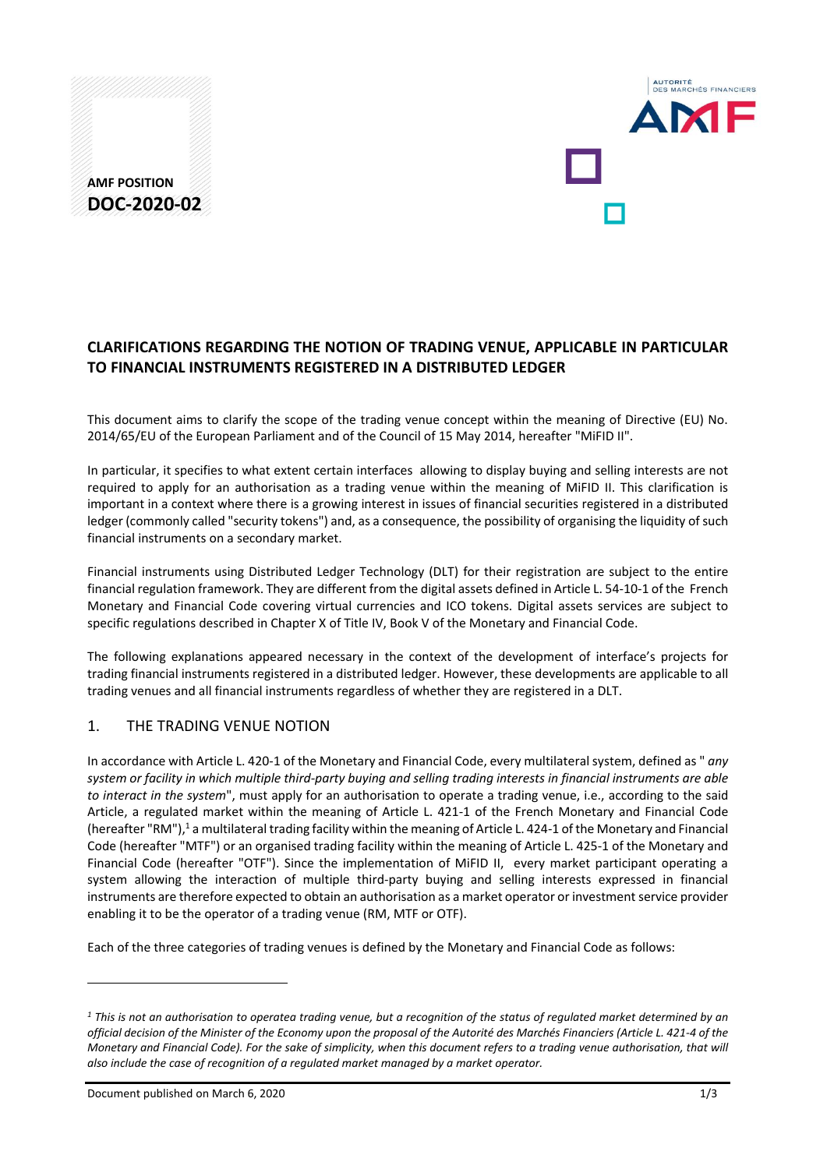# **AMF POSITION DOC-2020-02**



# **CLARIFICATIONS REGARDING THE NOTION OF TRADING VENUE, APPLICABLE IN PARTICULAR TO FINANCIAL INSTRUMENTS REGISTERED IN A DISTRIBUTED LEDGER**

This document aims to clarify the scope of the trading venue concept within the meaning of Directive (EU) No. 2014/65/EU of the European Parliament and of the Council of 15 May 2014, hereafter "MiFID II".

In particular, it specifies to what extent certain interfaces allowing to display buying and selling interests are not required to apply for an authorisation as a trading venue within the meaning of MiFID II. This clarification is important in a context where there is a growing interest in issues of financial securities registered in a distributed ledger (commonly called "security tokens") and, as a consequence, the possibility of organising the liquidity of such financial instruments on a secondary market.

Financial instruments using Distributed Ledger Technology (DLT) for their registration are subject to the entire financial regulation framework. They are different from the digital assets defined in Article L. 54-10-1 of the French Monetary and Financial Code covering virtual currencies and ICO tokens. Digital assets services are subject to specific regulations described in Chapter X of Title IV, Book V of the Monetary and Financial Code.

The following explanations appeared necessary in the context of the development of interface's projects for trading financial instruments registered in a distributed ledger. However, these developments are applicable to all trading venues and all financial instruments regardless of whether they are registered in a DLT.

### 1. THE TRADING VENUE NOTION

In accordance with Article L. 420-1 of the Monetary and Financial Code, every multilateral system, defined as " *any system or facility in which multiple third-party buying and selling trading interests in financial instruments are able to interact in the system*", must apply for an authorisation to operate a trading venue, i.e., according to the said Article, a regulated market within the meaning of Article L. 421-1 of the French Monetary and Financial Code (hereafter "RM"),<sup>1</sup> a multilateral trading facility within the meaning of Article L. 424-1 of the Monetary and Financial Code (hereafter "MTF") or an organised trading facility within the meaning of Article L. 425-1 of the Monetary and Financial Code (hereafter "OTF"). Since the implementation of MiFID II, every market participant operating a system allowing the interaction of multiple third-party buying and selling interests expressed in financial instruments are therefore expected to obtain an authorisation as a market operator or investment service provider enabling it to be the operator of a trading venue (RM, MTF or OTF).

Each of the three categories of trading venues is defined by the Monetary and Financial Code as follows:

Document published on March 6, 2020 1/3

 $\overline{a}$ 

*<sup>1</sup> This is not an authorisation to operatea trading venue, but a recognition of the status of regulated market determined by an official decision of the Minister of the Economy upon the proposal of the Autorité des Marchés Financiers (Article L. 421-4 of the Monetary and Financial Code). For the sake of simplicity, when this document refers to a trading venue authorisation, that will also include the case of recognition of a regulated market managed by a market operator.*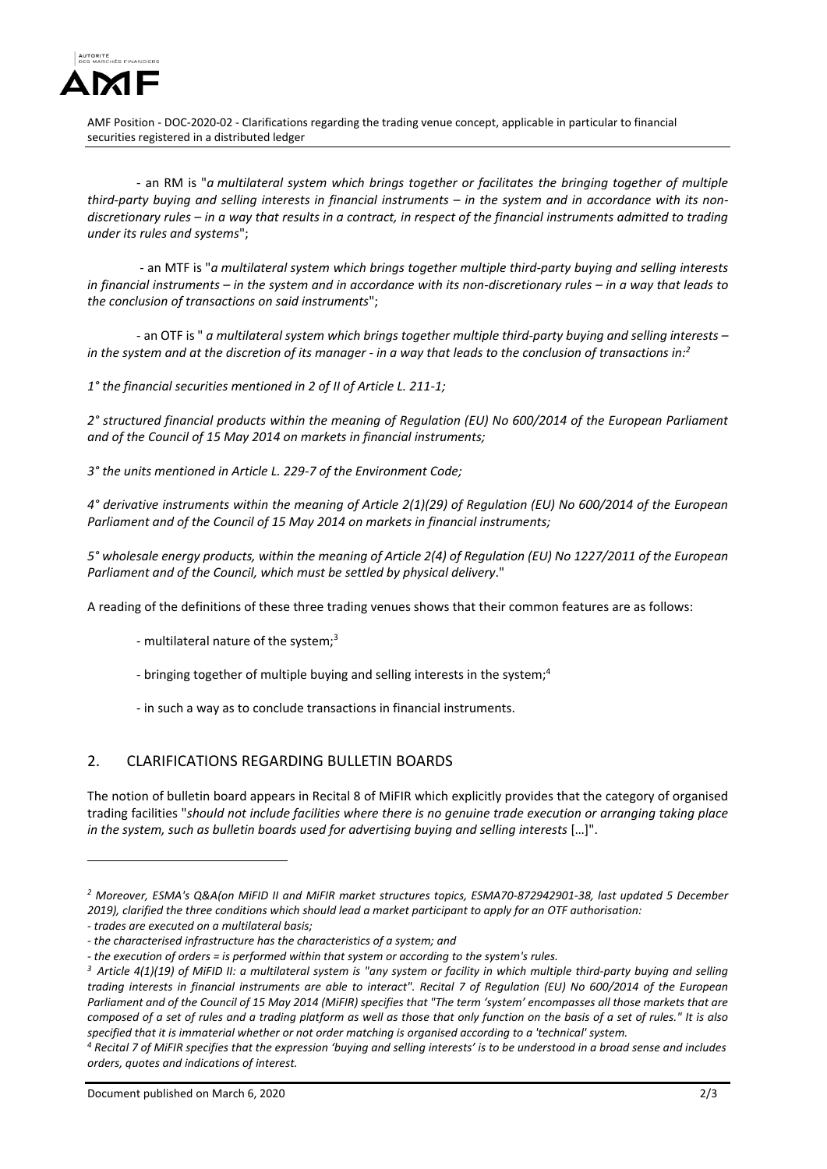

AMF Position - DOC-2020-02 - Clarifications regarding the trading venue concept, applicable in particular to financial securities registered in a distributed ledger

- an RM is "*a multilateral system which brings together or facilitates the bringing together of multiple*  third-party buying and selling interests in financial instruments – in the system and in accordance with its non*discretionary rules – in a way that results in a contract, in respect of the financial instruments admitted to trading under its rules and systems*";

- an MTF is "*a multilateral system which brings together multiple third-party buying and selling interests in financial instruments – in the system and in accordance with its non-discretionary rules – in a way that leads to the conclusion of transactions on said instruments*";

- an OTF is " *a multilateral system which brings together multiple third-party buying and selling interests – in the system and at the discretion of its manager - in a way that leads to the conclusion of transactions in: 2*

*1° the financial securities mentioned in 2 of II of Article L. 211-1;*

*2° structured financial products within the meaning of Regulation (EU) No 600/2014 of the European Parliament and of the Council of 15 May 2014 on markets in financial instruments;*

*3° the units mentioned in Article L. 229-7 of the Environment Code;*

*4° derivative instruments within the meaning of Article 2(1)(29) of Regulation (EU) No 600/2014 of the European Parliament and of the Council of 15 May 2014 on markets in financial instruments;*

*5° wholesale energy products, within the meaning of Article 2(4) of Regulation (EU) No 1227/2011 of the European Parliament and of the Council, which must be settled by physical delivery*."

A reading of the definitions of these three trading venues shows that their common features are as follows:

- multilateral nature of the system;<sup>3</sup>
- bringing together of multiple buying and selling interests in the system;<sup>4</sup>
- in such a way as to conclude transactions in financial instruments.

### 2. CLARIFICATIONS REGARDING BULLETIN BOARDS

The notion of bulletin board appears in Recital 8 of MiFIR which explicitly provides that the category of organised trading facilities "*should not include facilities where there is no genuine trade execution or arranging taking place in the system, such as bulletin boards used for advertising buying and selling interests* […]".

 $\overline{a}$ 

Document published on March 6, 2020 2/3

*<sup>2</sup> Moreover, ESMA's Q&A(on MiFID II and MiFIR market structures topics, ESMA70-872942901-38, last updated 5 December 2019), clarified the three conditions which should lead a market participant to apply for an OTF authorisation:*

*<sup>-</sup> trades are executed on a multilateral basis;*

*<sup>-</sup> the characterised infrastructure has the characteristics of a system; and*

*<sup>-</sup> the execution of orders = is performed within that system or according to the system's rules.*

*<sup>3</sup> Article 4(1)(19) of MiFID II: a multilateral system is "any system or facility in which multiple third-party buying and selling trading interests in financial instruments are able to interact". Recital 7 of Regulation (EU) No 600/2014 of the European Parliament and of the Council of 15 May 2014 (MiFIR) specifies that "The term 'system' encompasses all those markets that are composed of a set of rules and a trading platform as well as those that only function on the basis of a set of rules." It is also specified that it is immaterial whether or not order matching is organised according to a 'technical' system.*

*<sup>4</sup> Recital 7 of MiFIR specifies that the expression 'buying and selling interests' is to be understood in a broad sense and includes orders, quotes and indications of interest.*